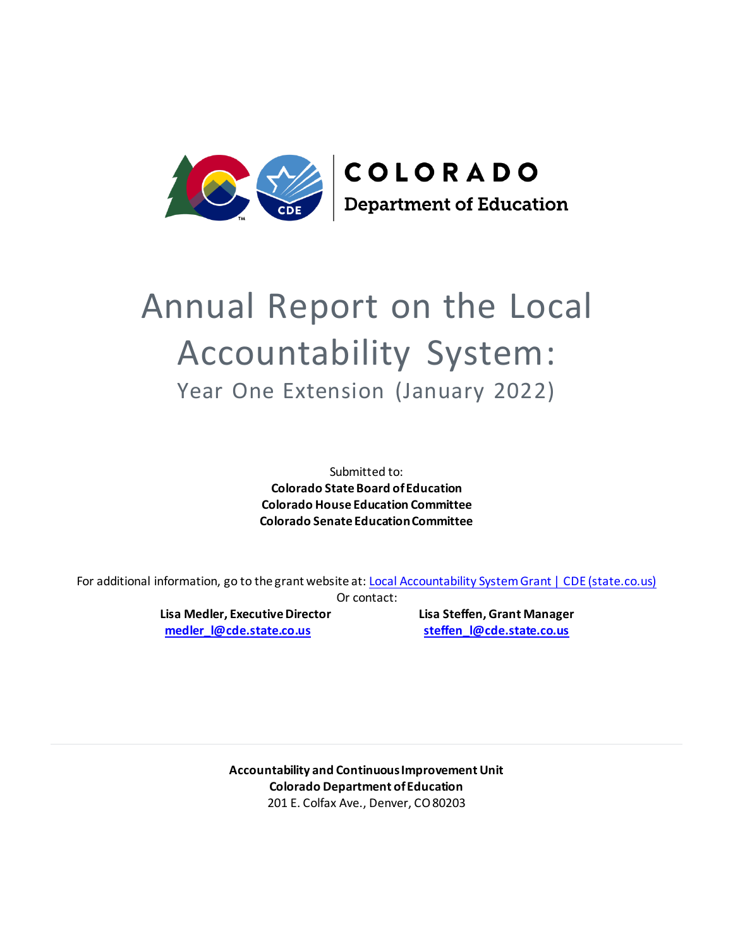

# Annual Report on the Local Accountability System: Year One Extension (January 2022)

Submitted to: **Colorado State Board of Education Colorado House Education Committee Colorado Senate Education Committee**

For additional information, go to the grant website at: [Local Accountability System Grant | CDE \(state.co.us\)](http://www.cde.state.co.us/localaccountabilitysystemgrant) Or contact:

> **Lisa Medler, Executive Director Lisa Steffen, Grant Manager [medler\\_l@cde.state.co.us](mailto:medler_l@cde.state.co.us) [steffen\\_l@cde.state.co.us](mailto:steffen_l@cde.state.co.us)**

**Accountability and Continuous Improvement Unit Colorado Department of Education** 201 E. Colfax Ave., Denver, CO 80203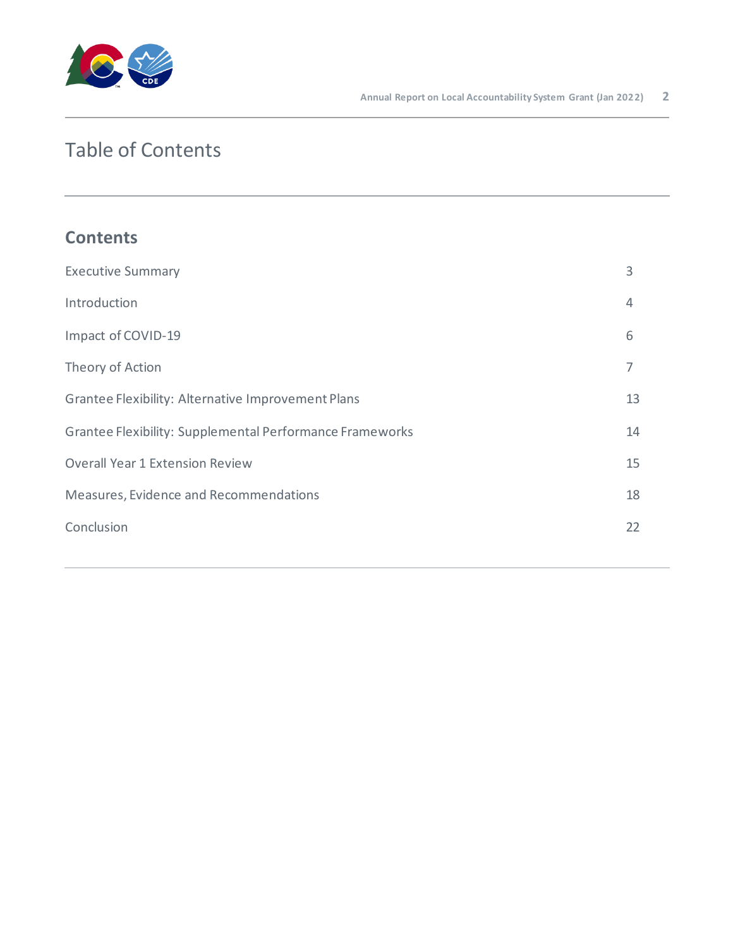

# Table of Contents

# **Contents**

| <b>Executive Summary</b>                                 | 3  |
|----------------------------------------------------------|----|
| Introduction                                             | 4  |
| Impact of COVID-19                                       | 6  |
| Theory of Action                                         | 7  |
| Grantee Flexibility: Alternative Improvement Plans       | 13 |
| Grantee Flexibility: Supplemental Performance Frameworks | 14 |
| <b>Overall Year 1 Extension Review</b>                   | 15 |
| Measures, Evidence and Recommendations                   | 18 |
| Conclusion                                               | 22 |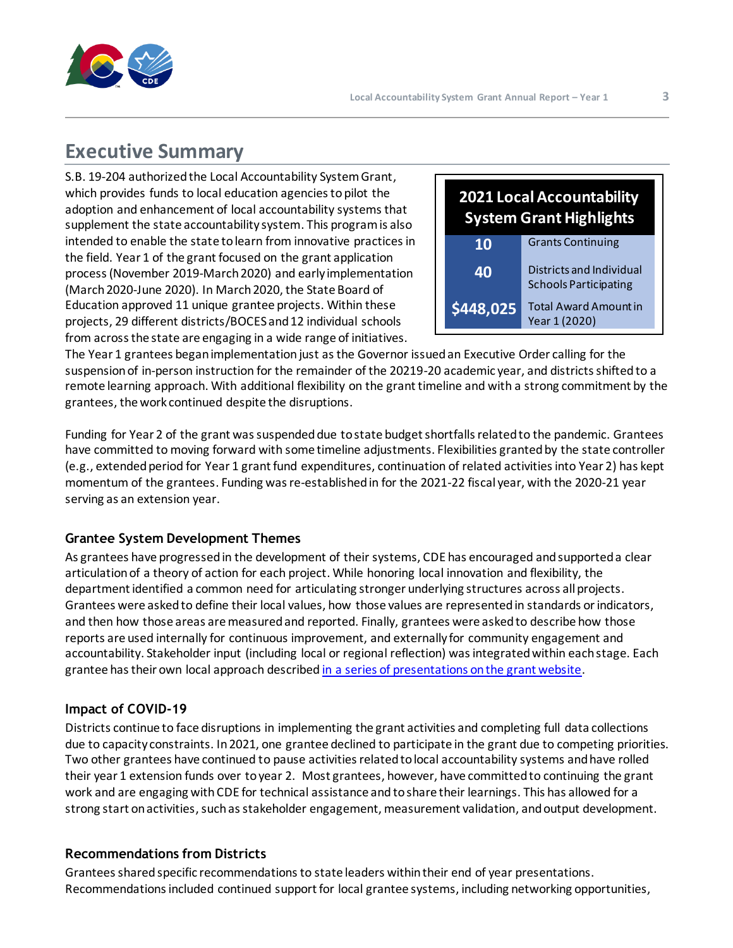

# <span id="page-2-0"></span>**Executive Summary**

S.B. 19-204 authorized the Local Accountability System Grant, which provides funds to local education agencies to pilot the adoption and enhancement of local accountability systems that supplement the state accountability system. This program is also intended to enable the state to learn from innovative practices in the field. Year 1 of the grant focused on the grant application process (November 2019-March 2020) and early implementation (March 2020-June 2020). In March 2020, the State Board of Education approved 11 unique grantee projects. Within these projects, 29 different districts/BOCES and 12 individual schools from across the state are engaging in a wide range of initiatives.



The Year 1 grantees began implementation just asthe Governor issued an Executive Order calling for the suspension of in-person instruction for the remainder of the 20219-20 academic year, and districts shifted to a remote learning approach. With additional flexibility on the grant timeline and with a strong commitment by the grantees, the work continued despite the disruptions.

Funding for Year 2 of the grant was suspended due to state budget shortfalls related to the pandemic. Grantees have committed to moving forward with some timeline adjustments. Flexibilities granted by the state controller (e.g., extendedperiod for Year 1 grant fund expenditures, continuation of related activities into Year 2) has kept momentum of the grantees. Funding was re-established in for the 2021-22 fiscal year, with the 2020-21 year serving as an extension year.

# **Grantee System Development Themes**

As grantees have progressed in the development of their systems, CDE has encouraged and supported a clear articulation of a theory of action for each project. While honoring local innovation and flexibility, the department identified a common need for articulating stronger underlying structures across all projects. Grantees were asked to define their local values, how those values are represented in standards or indicators, and then how those areas are measured and reported. Finally, grantees were asked to describe how those reports are used internally for continuous improvement, and externally for community engagement and accountability. Stakeholder input (including local or regional reflection) wasintegrated within each stage. Each grantee has their own local approach describe[d in a series of presentations on the grant website.](https://www.cde.state.co.us/localaccountabilitysystemgrant)

# **Impact of COVID-19**

Districts continue to face disruptions in implementing the grant activities and completing full data collections due to capacity constraints. In 2021, one grantee declined to participate in the grant due to competing priorities. Two other grantees have continued to pause activities related to local accountability systems and have rolled their year 1 extension funds over to year 2. Most grantees, however, have committed to continuing the grant work and are engaging with CDE for technical assistance and to share their learnings. This has allowed for a strong start on activities, such as stakeholder engagement, measurement validation, and output development.

## **Recommendations from Districts**

Grantees shared specific recommendations to state leaders within their end of year presentations. Recommendations included continued support for local grantee systems, including networking opportunities,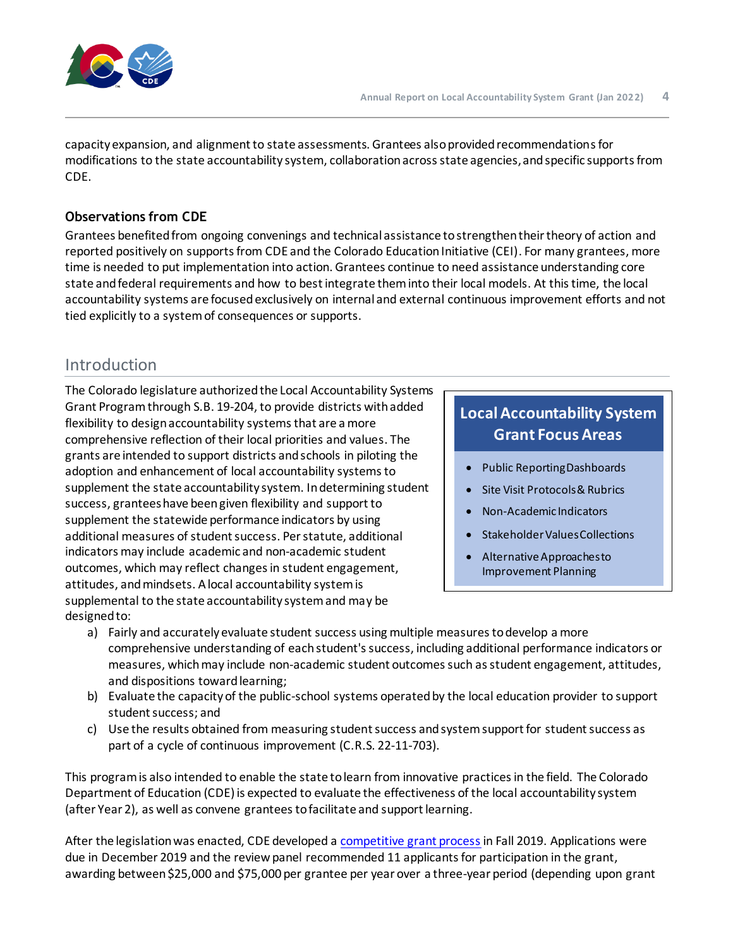

capacity expansion, and alignment to state assessments. Grantees also provided recommendations for modifications to the state accountability system, collaboration across state agencies, and specific supports from CDE.

# **Observations from CDE**

Grantees benefited from ongoing convenings and technical assistance to strengthen their theory of action and reported positively on supports from CDE and the Colorado Education Initiative (CEI). For many grantees, more time is needed to put implementation into action. Grantees continue to need assistance understanding core state and federal requirements and how to best integrate them into their local models. At this time, the local accountability systems are focused exclusively on internal and external continuous improvement efforts and not tied explicitly to a system of consequences or supports.

# <span id="page-3-0"></span>Introduction

The Colorado legislature authorizedthe Local Accountability Systems Grant Programthrough S.B. 19-204, to provide districts with added flexibility to design accountability systems that are a more comprehensive reflection of their local priorities and values. The grants are intended to support districts and schools in piloting the adoption and enhancement of local accountability systems to supplement the state accountability system. In determining student success, grantees have been given flexibility and support to supplement the statewide performance indicators by using additional measures of student success. Per statute, additional indicators may include academic and non-academic student outcomes, which may reflect changes in student engagement, attitudes, and mindsets. A local accountability system is supplemental to the state accountability system and may be designed to:

# **Local Accountability System Grant Focus Areas**

- Public Reporting Dashboards
- Site Visit Protocols & Rubrics
- Non-Academic Indicators
- Stakeholder Values Collections
- Alternative Approaches to Improvement Planning
- a) Fairly and accurately evaluate student success using multiple measures to develop a more comprehensive understanding of each student's success, including additional performance indicators or measures, which may include non-academic student outcomes such as student engagement, attitudes, and dispositions toward learning;
- b) Evaluate the capacity of the public-school systems operated by the local education provider to support student success; and
- c) Use the results obtained from measuring student success and system support for student success as part of a cycle of continuous improvement (C.R.S. 22-11-703).

This program is also intended to enable the state to learn from innovative practices in the field. The Colorado Department of Education (CDE) is expected to evaluate the effectiveness of the local accountability system (after Year 2), as well as convene grantees to facilitate and support learning.

After the legislation was enacted, CDE developed a [competitive grant process](http://www.cde.state.co.us/accountability/localaccountabilitysystemgrantflier) in Fall 2019. Applications were due in December 2019 and the review panel recommended 11 applicants for participation in the grant, awarding between \$25,000 and \$75,000 per grantee per year over a three-year period (depending upon grant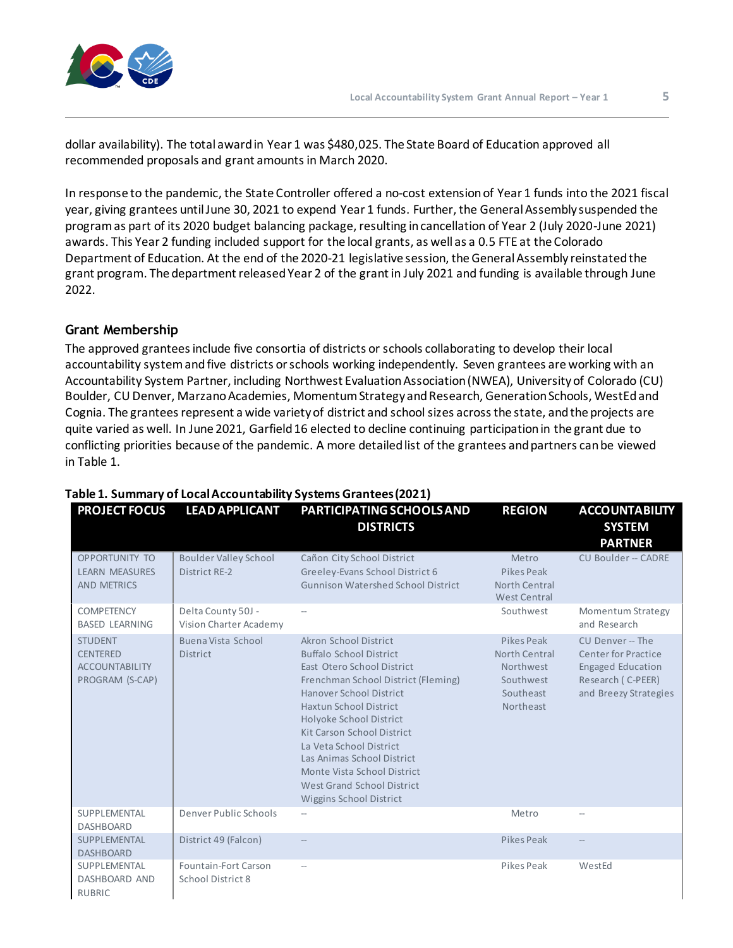

dollar availability). The total award in Year 1 was \$480,025. The State Board of Education approved all recommended proposals and grant amounts in March 2020.

In response to the pandemic, the State Controller offered a no-cost extension of Year 1 funds into the 2021 fiscal year, giving grantees until June 30, 2021 to expend Year 1 funds. Further, the General Assembly suspended the program as part of its 2020 budget balancing package, resulting in cancellation of Year 2 (July 2020-June 2021) awards. This Year 2 funding included support for the local grants, as well as a 0.5 FTE at the Colorado Department of Education. At the end of the 2020-21 legislative session, the General Assembly reinstatedthe grant program. The department released Year 2 of the grant in July 2021 and funding is available through June 2022.

# **Grant Membership**

The approved grantees include five consortia of districts or schools collaborating to develop their local accountability system and five districts or schools working independently. Seven grantees are working with an Accountability System Partner, including Northwest Evaluation Association (NWEA), University of Colorado (CU) Boulder, CU Denver, Marzano Academies, Momentum Strategy and Research, Generation Schools, WestEd and Cognia. The grantees represent a wide variety of district and school sizes across the state, and the projects are quite varied as well. In June 2021, Garfield 16 elected to decline continuing participation in the grant due to conflicting priorities because of the pandemic. A more detailed list of the grantees and partners can be viewed in Table 1.

| <b>PROJECT FOCUS</b>                                                          | <b>LEAD APPLICANT</b>                         | PARTICIPATING SCHOOLS AND<br><b>DISTRICTS</b>                                                                                                                                                                                                                                                                                                                                                      | <b>REGION</b>                                                                   | <b>ACCOUNTABILITY</b><br><b>SYSTEM</b><br><b>PARTNER</b>                                                          |
|-------------------------------------------------------------------------------|-----------------------------------------------|----------------------------------------------------------------------------------------------------------------------------------------------------------------------------------------------------------------------------------------------------------------------------------------------------------------------------------------------------------------------------------------------------|---------------------------------------------------------------------------------|-------------------------------------------------------------------------------------------------------------------|
| <b>OPPORTUNITY TO</b><br><b>LEARN MEASURES</b><br><b>AND METRICS</b>          | <b>Boulder Valley School</b><br>District RE-2 | Cañon City School District<br>Greeley-Evans School District 6<br><b>Gunnison Watershed School District</b>                                                                                                                                                                                                                                                                                         | Metro<br>Pikes Peak<br>North Central<br><b>West Central</b>                     | CU Boulder -- CADRE                                                                                               |
| <b>COMPETENCY</b><br><b>BASED LEARNING</b>                                    | Delta County 50J -<br>Vision Charter Academy  | $\sim$                                                                                                                                                                                                                                                                                                                                                                                             | Southwest                                                                       | Momentum Strategy<br>and Research                                                                                 |
| <b>STUDENT</b><br><b>CENTERED</b><br><b>ACCOUNTABILITY</b><br>PROGRAM (S-CAP) | Buena Vista School<br><b>District</b>         | Akron School District<br><b>Buffalo School District</b><br>East Otero School District<br>Frenchman School District (Fleming)<br>Hanover School District<br><b>Haxtun School District</b><br>Holyoke School District<br>Kit Carson School District<br>La Veta School District<br>Las Animas School District<br>Monte Vista School District<br>West Grand School District<br>Wiggins School District | Pikes Peak<br>North Central<br>Northwest<br>Southwest<br>Southeast<br>Northeast | CU Denver -- The<br>Center for Practice<br><b>Engaged Education</b><br>Research (C-PEER)<br>and Breezy Strategies |
| SUPPLEMENTAL<br><b>DASHBOARD</b>                                              | Denver Public Schools                         | $\sim$                                                                                                                                                                                                                                                                                                                                                                                             | Metro                                                                           | $\overline{\phantom{a}}$                                                                                          |
| SUPPLEMENTAL<br><b>DASHBOARD</b>                                              | District 49 (Falcon)                          |                                                                                                                                                                                                                                                                                                                                                                                                    | Pikes Peak                                                                      |                                                                                                                   |
| SUPPLEMENTAL<br>DASHBOARD AND<br><b>RUBRIC</b>                                | Fountain-Fort Carson<br>School District 8     | $\overline{\phantom{a}}$                                                                                                                                                                                                                                                                                                                                                                           | Pikes Peak                                                                      | WestEd                                                                                                            |

# **Table 1. Summary of Local Accountability Systems Grantees (2021)**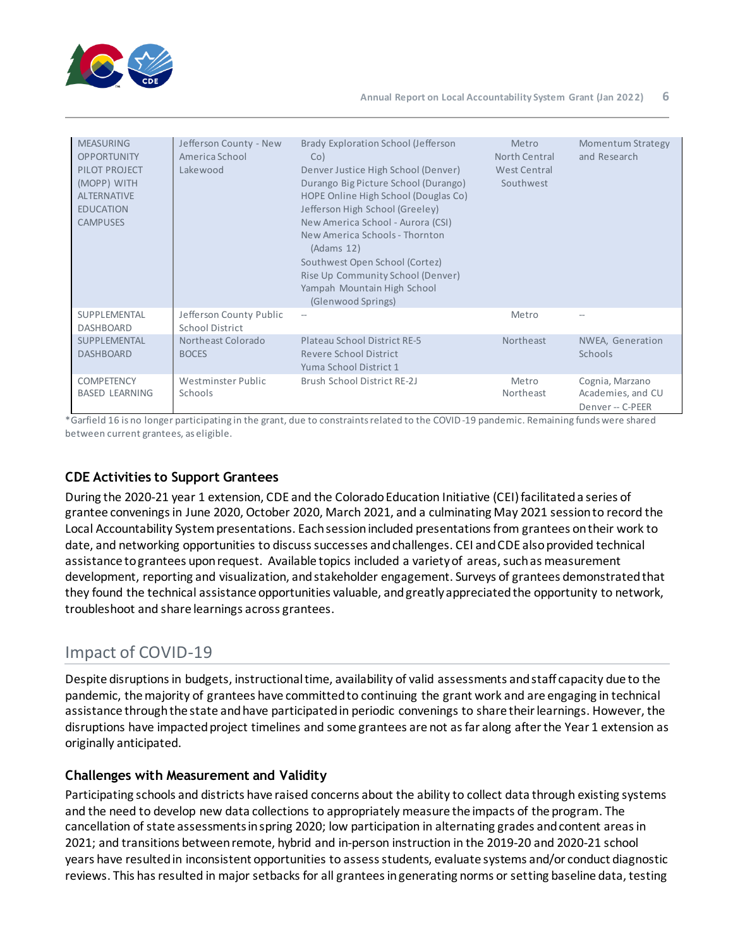

| <b>MEASURING</b><br><b>OPPORTUNITY</b><br>PILOT PROJECT<br>(MOPP) WITH<br><b>ALTERNATIVE</b><br><b>EDUCATION</b><br><b>CAMPUSES</b> | Jefferson County - New<br>America School<br>Lakewood | Brady Exploration School (Jefferson<br>Co)<br>Denver Justice High School (Denver)<br>Durango Big Picture School (Durango)<br>HOPE Online High School (Douglas Co)<br>Jefferson High School (Greeley)<br>New America School - Aurora (CSI)<br>New America Schools - Thornton<br>(Adams 12)<br>Southwest Open School (Cortez)<br>Rise Up Community School (Denver)<br>Yampah Mountain High School<br>(Glenwood Springs) | Metro<br>North Central<br>West Central<br>Southwest | <b>Momentum Strategy</b><br>and Research                 |
|-------------------------------------------------------------------------------------------------------------------------------------|------------------------------------------------------|-----------------------------------------------------------------------------------------------------------------------------------------------------------------------------------------------------------------------------------------------------------------------------------------------------------------------------------------------------------------------------------------------------------------------|-----------------------------------------------------|----------------------------------------------------------|
| SUPPLEMENTAL<br><b>DASHBOARD</b>                                                                                                    | Jefferson County Public<br>School District           |                                                                                                                                                                                                                                                                                                                                                                                                                       | Metro                                               |                                                          |
| SUPPLEMENTAL<br><b>DASHBOARD</b>                                                                                                    | Northeast Colorado<br><b>BOCES</b>                   | Plateau School District RE-5<br>Revere School District<br>Yuma School District 1                                                                                                                                                                                                                                                                                                                                      | Northeast                                           | NWEA, Generation<br>Schools                              |
| <b>COMPETENCY</b><br><b>BASED LEARNING</b>                                                                                          | Westminster Public<br>Schools                        | Brush School District RE-2J                                                                                                                                                                                                                                                                                                                                                                                           | Metro<br>Northeast                                  | Cognia, Marzano<br>Academies, and CU<br>Denver -- C-PEER |

\*Garfield 16 is no longer participating in the grant, due to constraints related to the COVID-19 pandemic. Remaining funds were shared between current grantees, as eligible.

# **CDE Activities to Support Grantees**

During the 2020-21 year 1 extension, CDE and the Colorado Education Initiative (CEI) facilitated a series of grantee convenings in June 2020, October 2020, March 2021, and a culminating May 2021 session to record the Local Accountability System presentations. Each session included presentations from grantees on their work to date, and networking opportunities to discuss successes and challenges. CEI and CDE also provided technical assistance to grantees upon request. Available topics included a variety of areas, such as measurement development, reporting and visualization, and stakeholder engagement. Surveys of grantees demonstrated that they found the technical assistance opportunities valuable, and greatly appreciated the opportunity to network, troubleshoot and share learnings across grantees.

# <span id="page-5-0"></span>Impact of COVID-19

Despite disruptions in budgets, instructional time, availability of valid assessments and staff capacity due to the pandemic, the majority of grantees have committed to continuing the grant work and are engaging in technical assistance through the state and have participated in periodic convenings to share their learnings. However, the disruptions have impacted project timelines and some grantees are not as far along after the Year 1 extension as originally anticipated.

# **Challenges with Measurement and Validity**

Participating schools and districts have raised concerns about the ability to collect data through existing systems and the need to develop new data collections to appropriately measure the impacts of the program. The cancellation of state assessments in spring 2020; low participation in alternating grades and content areas in 2021; and transitions between remote, hybrid and in-person instruction in the 2019-20 and 2020-21 school years have resulted in inconsistent opportunities to assess students, evaluate systems and/or conduct diagnostic reviews. This has resulted in major setbacks for all grantees in generating norms or setting baseline data, testing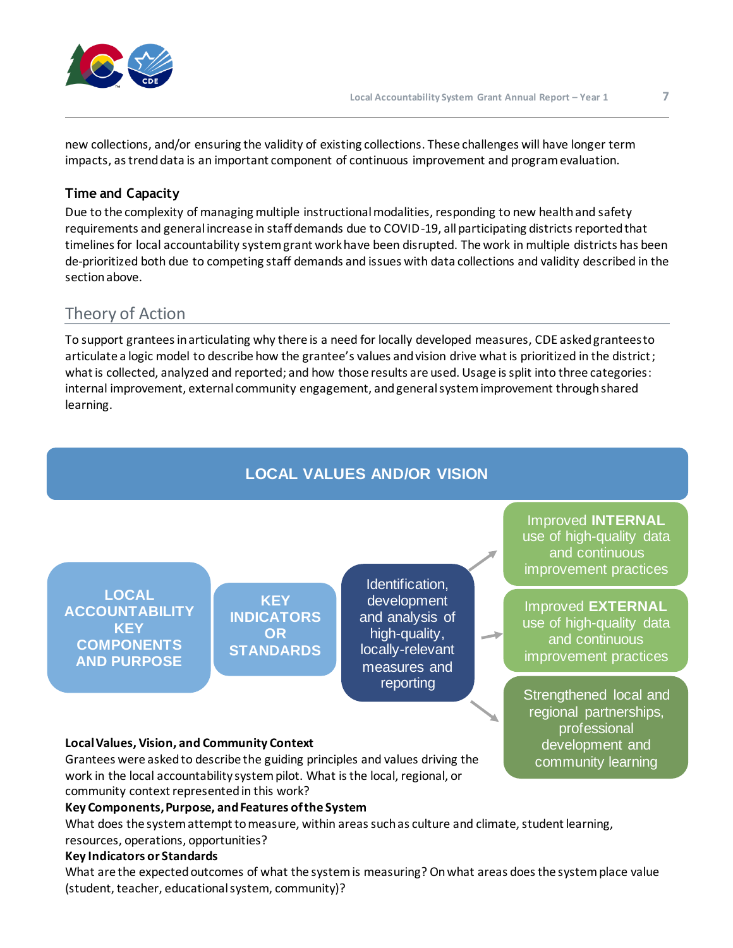

new collections, and/or ensuring the validity of existing collections. These challenges will have longer term impacts, as trend data is an important component of continuous improvement and program evaluation.

## **Time and Capacity**

Due to the complexity of managing multiple instructional modalities, responding to new health and safety requirements and general increase in staff demands due to COVID-19, all participating districts reported that timelines for local accountability system grant work have been disrupted. The work in multiple districts has been de-prioritized both due to competing staff demands and issues with data collections and validity described in the section above.

# <span id="page-6-0"></span>Theory of Action

To support grantees in articulating why there is a need for locally developed measures, CDE asked grantees to articulate a logic model to describe how the grantee's values and vision drive what is prioritized in the district; what is collected, analyzed and reported; and how those results are used. Usage is split into three categories: internal improvement, external community engagement, and general system improvement through shared learning.



Grantees were asked to describe the guiding principles and values driving the work in the local accountability system pilot. What is the local, regional, or community context represented in this work?

#### **Key Components, Purpose, and Features of the System**

What does the system attempt to measure, within areas such as culture and climate, student learning, resources, operations, opportunities?

#### **Key Indicators or Standards**

What are the expected outcomes of what the system is measuring? On what areas does the system place value (student, teacher, educational system, community)?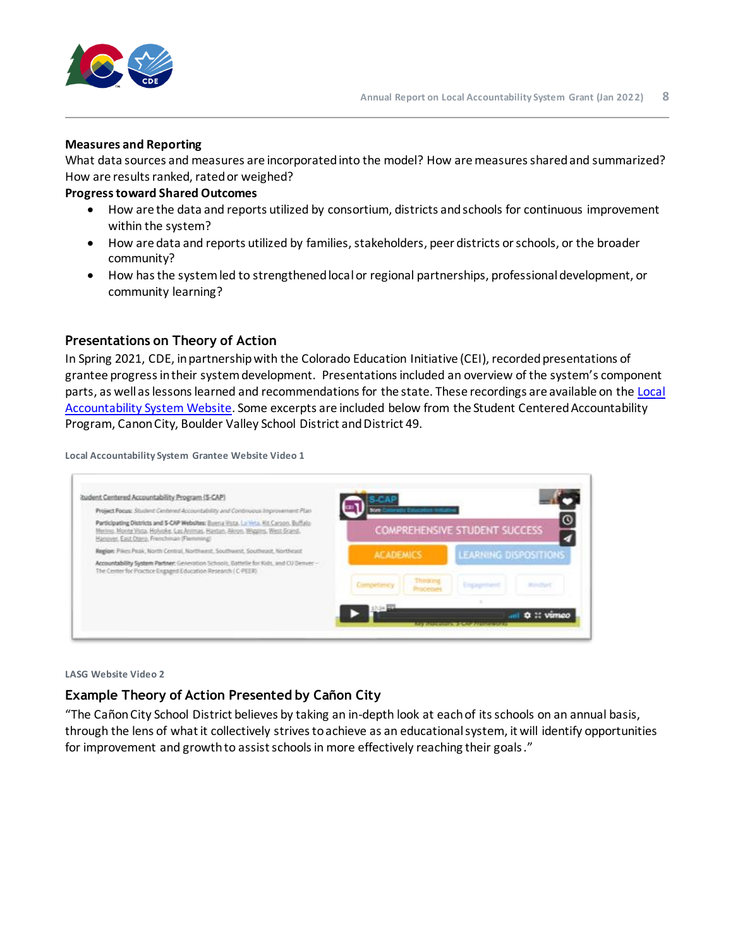

#### **Measures and Reporting**

What data sources and measures are incorporated into the model? How are measures shared and summarized? How are results ranked, rated or weighed?

#### **Progress toward Shared Outcomes**

- How are the data and reports utilized by consortium, districts and schools for continuous improvement within the system?
- How are data and reports utilized by families, stakeholders, peer districts or schools, or the broader community?
- How has the system led to strengthened local or regional partnerships, professional development, or community learning?

### **Presentations on Theory of Action**

In Spring 2021, CDE, in partnership with the Colorado Education Initiative (CEI), recorded presentations of grantee progress in their system development. Presentations included an overview of the system's component parts, as well as lessons learned and recommendations for the state. These recordings are available on th[e Local](https://www.cde.state.co.us/localaccountabilitysystemgrant)  [Accountability System Website.](https://www.cde.state.co.us/localaccountabilitysystemgrant) Some excerpts are included below from the Student Centered Accountability Program, Canon City, Boulder Valley School District and District 49.

**Local Accountability System Grantee Website Video 1**



#### **LASG Website Video 2**

## **Example Theory of Action Presented by Cañon City**

"The Cañon City School District believes by taking an in-depth look at each of its schools on an annual basis, through the lens of what it collectively strives to achieve as an educational system, it will identify opportunities for improvement and growth to assist schools in more effectively reaching their goals."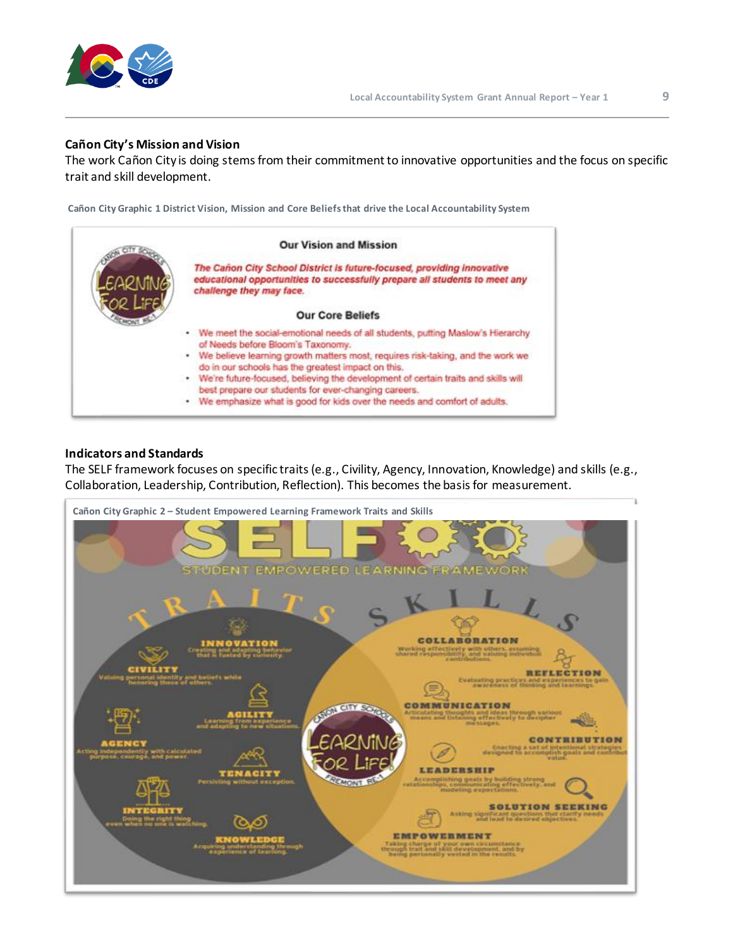

#### **Cañon City's Mission and Vision**

The work Cañon City is doing stems from their commitment to innovative opportunities and the focus on specific trait and skill development.

**Cañon City Graphic 1 District Vision, Mission and Core Beliefs that drive the Local Accountability System**



#### **Indicators and Standards**

The SELF framework focuses on specific traits (e.g., Civility, Agency, Innovation, Knowledge) and skills (e.g., Collaboration, Leadership, Contribution, Reflection). This becomes the basis for measurement.

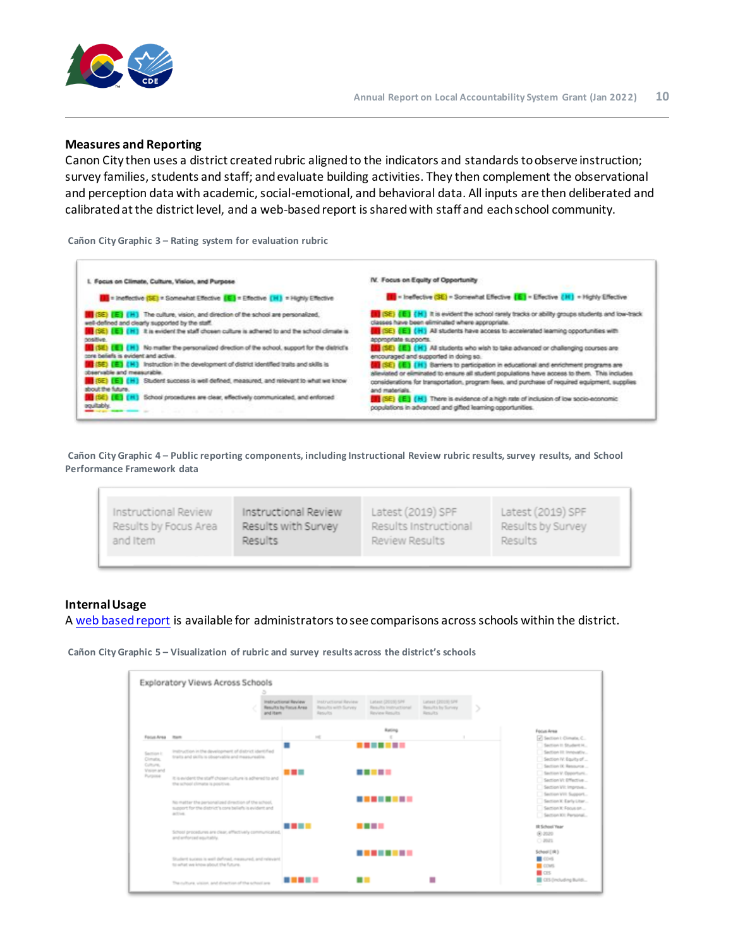

#### **Measures and Reporting**

Canon City then uses a district created rubric aligned to the indicators and standards to observe instruction; survey families, students and staff; and evaluate building activities. They then complement the observational and perception data with academic, social-emotional, and behavioral data. All inputs are then deliberated and calibrated at the district level, and a web-based report is shared with staff and each school community.

**Cañon City Graphic 3 – Rating system for evaluation rubric**



**Cañon City Graphic 4 – Public reporting components, including Instructional Review rubric results, survey results, and School Performance Framework data**

| Instructional Review  | Instructional Review | Latest (2019) SPF     | Latest (2019) SPF |  |
|-----------------------|----------------------|-----------------------|-------------------|--|
| Results by Focus Area | Results with Survey  | Results Instructional | Results by Survey |  |
| and Item              | Results              | Review Results        | Results           |  |

#### **Internal Usage**

A [web based report](https://public.tableau.com/profile/elena.d.b#!/vizhome/LocalDataLandscapeAcrossBuildings/ViewsacrossSchools) is available for administrators to see comparisons across schools within the district.

**Cañon City Graphic 5 – Visualization of rubric and survey results across the district's schools**

|                                     |                                                                                                                          | and item | Instructional Review<br>Results by Focus Area | Instructional Review<br>Results with Survey<br>Results. | Latest (2019) SPF<br>Results Instructional<br>Review Results | Latest (2013) 576<br>Results by Survey<br>Results: |                                                                                                |
|-------------------------------------|--------------------------------------------------------------------------------------------------------------------------|----------|-----------------------------------------------|---------------------------------------------------------|--------------------------------------------------------------|----------------------------------------------------|------------------------------------------------------------------------------------------------|
| Focus Area Ram                      |                                                                                                                          |          |                                               | 100                                                     | Rating                                                       |                                                    | Focus Area<br>7 Section I: Dimate, C.,                                                         |
| Saction I:<br>Climatis,<br>Culture, | Instruction in the development of district identified<br>traits and skills is observable and measureable.                |          |                                               |                                                         | .                                                            |                                                    | Section 11 Student H.<br>Saction III: Innovativ<br>Section V: Equita of<br>Section O. Resource |
| Vision and<br>Purpose               | It is exident the staff chosen culture is adhered to and<br>the school climate is positive.                              |          | ---                                           |                                                         | .                                                            |                                                    | Section V: Opportuni<br>Section V: Effective<br>Section VII: Improve                           |
|                                     | No matter the personalized direction of the school.<br>support for the district's core beliefs is evident and<br>active. |          |                                               |                                                         | --------                                                     |                                                    | Section VIII, Support<br>Section K: Early Liter<br>Section IC Focus on<br>Section IO: Personal |
|                                     | School procedures are clear, effectively communicated.<br>and enforced equitably.                                        |          | .                                             |                                                         | .                                                            |                                                    | IR School Year<br>00.2020<br>$O$ 2021                                                          |
|                                     | Student sucess is well defined, measured, and relevant.<br>to what we know about the future.                             |          |                                               |                                                         | --------                                                     |                                                    | School (1R)<br>CO-S<br>COMS.                                                                   |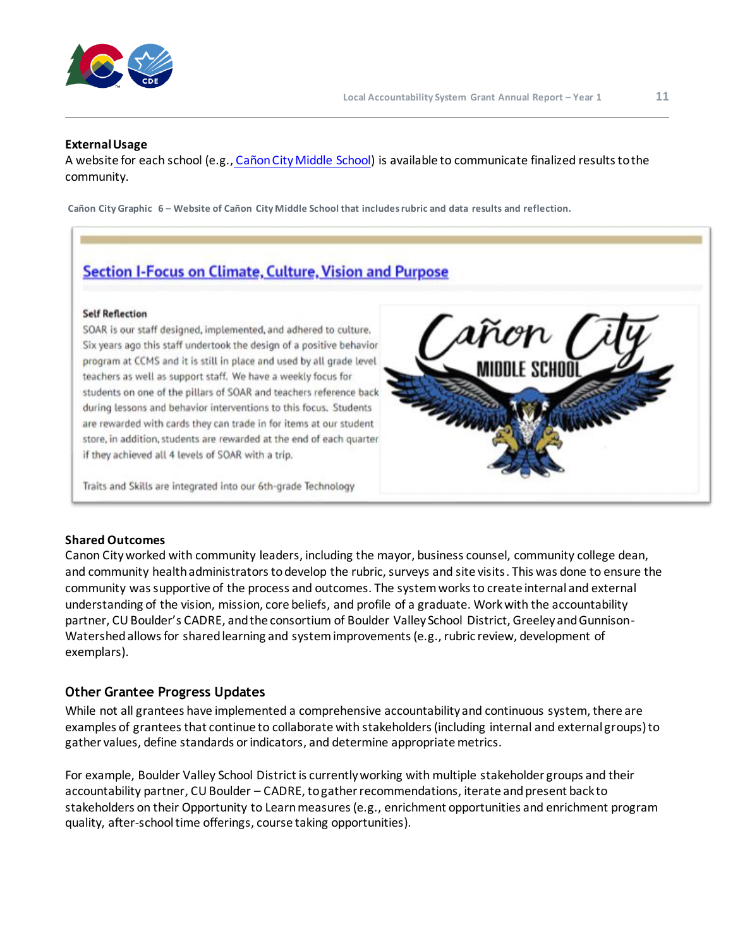

#### **External Usage**

A website for each school (e.g., [Cañon City Middle School\)](https://echoesfromcanon.weebly.com/ccms-2021-instructional-program-review.html) is available to communicate finalized results to the community.

**Cañon City Graphic 6 – Website of Cañon City Middle School that includes rubric and data results and reflection.** 

# **Section I-Focus on Climate, Culture, Vision and Purpose**

#### **Self Reflection**

SOAR is our staff designed, implemented, and adhered to culture. Six years ago this staff undertook the design of a positive behavior program at CCMS and it is still in place and used by all grade level teachers as well as support staff. We have a weekly focus for students on one of the pillars of SOAR and teachers reference back during lessons and behavior interventions to this focus. Students are rewarded with cards they can trade in for items at our student store, in addition, students are rewarded at the end of each quarter if they achieved all 4 levels of SOAR with a trip.

Traits and Skills are integrated into our 6th-grade Technology



Canon City worked with community leaders, including the mayor, business counsel, community college dean, and community health administrators to develop the rubric, surveys and site visits. This was done to ensure the community was supportive of the process and outcomes. The system works to create internal and external understanding of the vision, mission, core beliefs, and profile of a graduate. Work with the accountability partner, CU Boulder's CADRE, and the consortium of Boulder Valley School District, Greeley and Gunnison-Watershed allows for shared learning and system improvements (e.g., rubric review, development of exemplars).

#### **Other Grantee Progress Updates**

While not all grantees have implemented a comprehensive accountability and continuous system, there are examples of grantees that continue to collaborate with stakeholders (including internal and external groups) to gather values, define standards or indicators, and determine appropriate metrics.

For example, Boulder Valley School District is currently working with multiple stakeholder groups and their accountability partner, CU Boulder – CADRE, to gather recommendations, iterate and present back to stakeholders on their Opportunity to Learn measures (e.g., enrichment opportunities and enrichment program quality, after-school time offerings, course taking opportunities).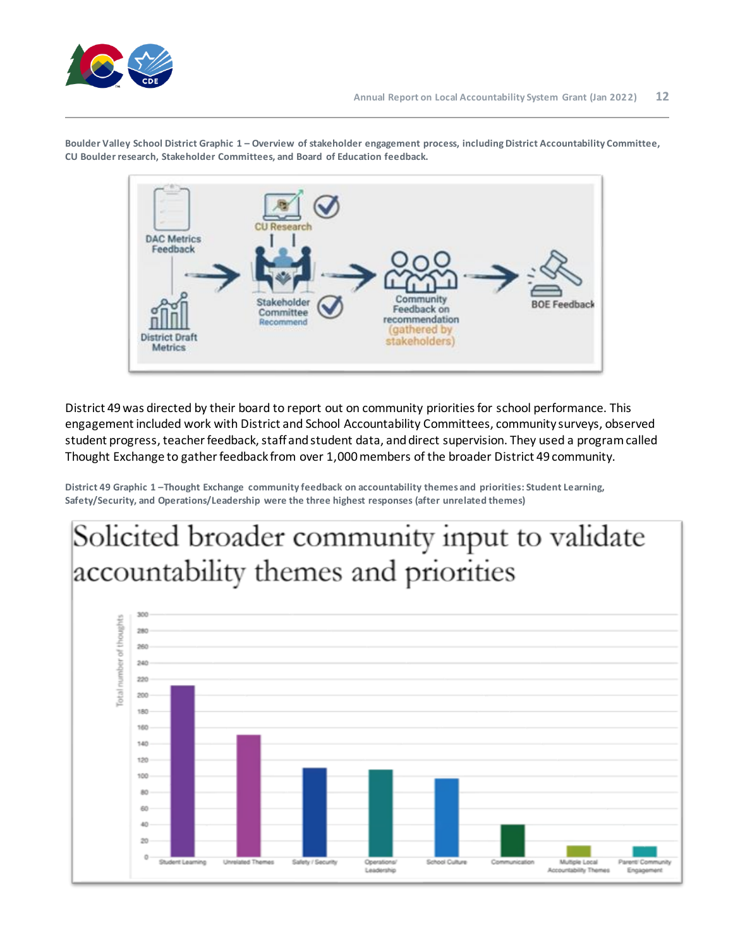

**Boulder Valley School District Graphic 1 – Overview of stakeholder engagement process, including District Accountability Committee, CU Boulder research, Stakeholder Committees, and Board of Education feedback.**



District 49 was directed by their board to report out on community priorities for school performance. This engagement included work with District and School Accountability Committees, community surveys, observed student progress, teacher feedback, staff and student data, and direct supervision. They used a program called Thought Exchange to gather feedback from over 1,000 members of the broader District 49 community.

**District 49 Graphic 1 –Thought Exchange community feedback on accountability themes and priorities: Student Learning, Safety/Security, and Operations/Leadership were the three highest responses (after unrelated themes)**

# Solicited broader community input to validate accountability themes and priorities

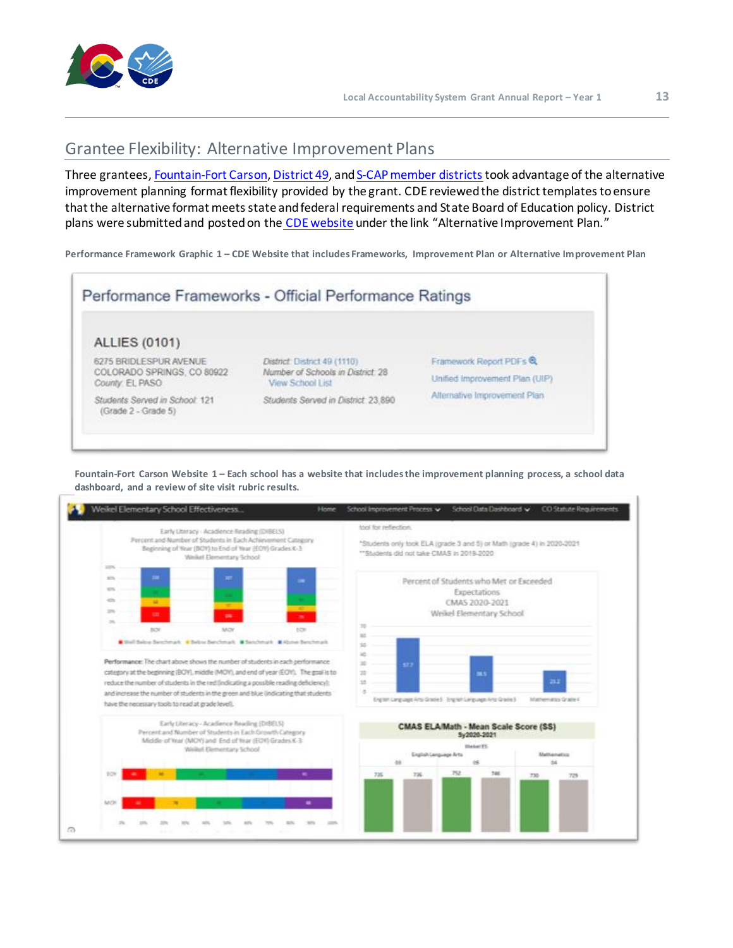

# <span id="page-12-0"></span>Grantee Flexibility: Alternative Improvement Plans

Three grantees[, Fountain-Fort Carson](https://sites.google.com/ffc8.org/fountainfortcarsonhighschoolef/home)[, District 49](https://cedar2.cde.state.co.us/documents/AltPlan2021/1110-2908-2021), and S-CAP member districts took advantage of the alternative improvement planning format flexibility provided by the grant. CDE reviewed the district templates to ensure that the alternative format meets state and federal requirements and State Board of Education policy. District plans were submitted and posted on the [CDE website](https://www.cde.state.co.us/schoolview/frameworks/welcome/) under the link "Alternative Improvement Plan."

**Performance Framework Graphic 1 – CDE Website that includes Frameworks, Improvement Plan or Alternative Improvement Plan**



**Fountain-Fort Carson Website 1 – Each school has a website that includes the improvement planning process, a school data dashboard, and a review of site visit rubric results.**

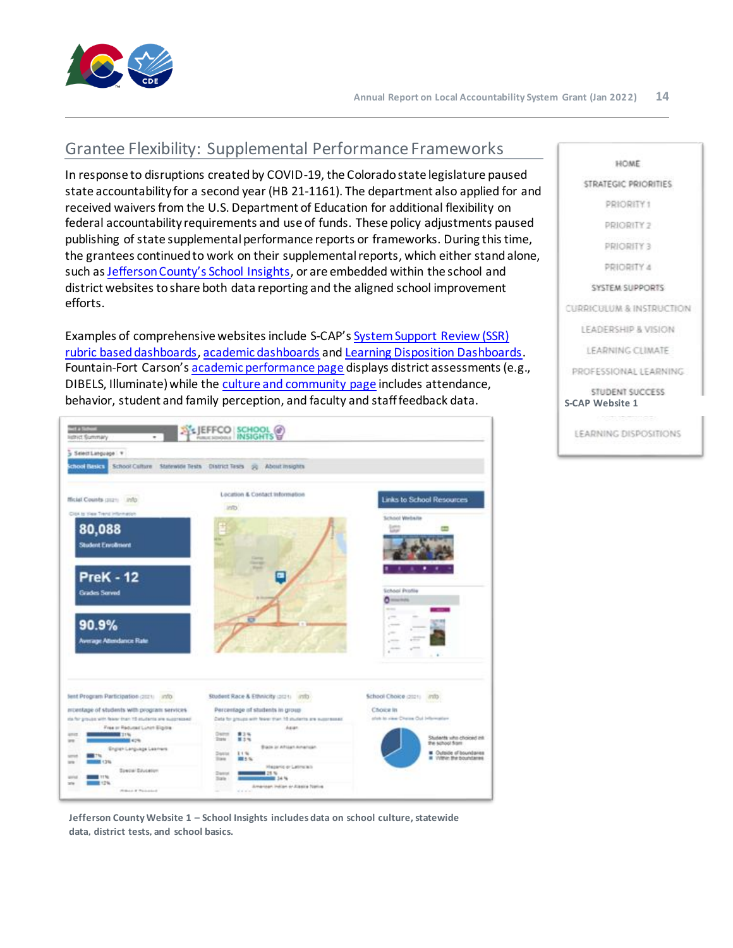

# <span id="page-13-0"></span>Grantee Flexibility: Supplemental Performance Frameworks

In response to disruptions created by COVID-19, the Colorado state legislature paused state accountability for a second year (HB 21-1161). The department also applied for and received waivers from the U.S. Department of Education for additional flexibility on federal accountability requirements and use of funds. These policy adjustments paused publishing of state supplemental performance reports or frameworks. During this time, the grantees continued to work on their supplemental reports, which either stand alone, such as [Jefferson County's School Insights](https://www.jeffcopublicschools.org/schools/school_insights), or are embedded within the school and district websites to share both data reporting and the aligned school improvement efforts.

Examples of comprehensive websites include S-CAP's [System Support Review](https://scapakronschools.weebly.com/system-supports.html) (SSR) [rubric based dashboards,](https://scapakronschools.weebly.com/system-supports.html) [academic dashboards](https://scapmvschools.weebly.com/academics.html) an[d Learning Disposition Dashboards](https://scapakronschools.weebly.com/learning-dispositions.html). Fountain-Fort Carson's [academic performance page](https://sites.google.com/ffc8.org/weikel-elementary-school-effec/school-data-dashboard/academic-performance) displays district assessments (e.g., DIBELS, Illuminate) while th[e culture and community page](https://sites.google.com/ffc8.org/weikel-elementary-school-effec/school-data-dashboard/culture-community?authuser=0) includes attendance, behavior, student and family perception, and faculty and staff feedback data.<br>**S-CAP Website 1** S-CAP Website 1



**Jefferson County Website 1 – School Insights includes data on school culture, statewide data, district tests, and school basics.**

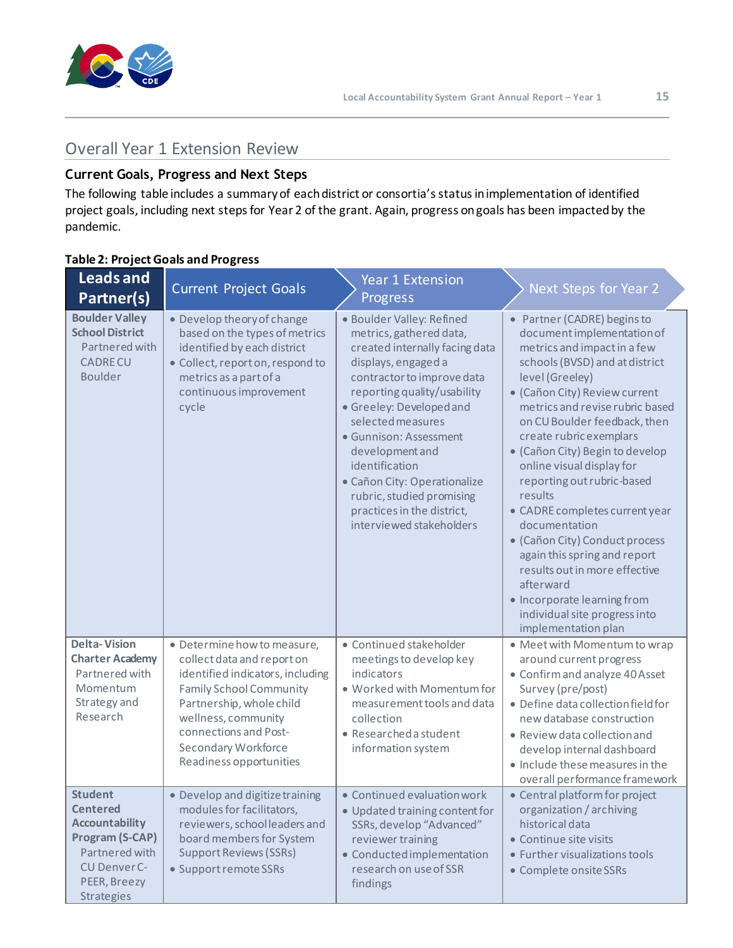

# <span id="page-14-0"></span>Overall Year 1 Extension Review

# **Current Goals, Progress and Next Steps**

The following table includes a summary of each district or consortia's status in implementation of identified project goals, including next steps for Year 2 of the grant. Again, progress on goals has been impacted by the pandemic.

|                                                                                                                                               | i apie z. Froject doais and Frogress                                                                                                                                                                                                                          |                                                                                                                                                                                                                                                                                                                                                                                                                   |                                                                                                                                                                                                                                                                                                                                                                                                                                                                                                                                                                                                                                                 |
|-----------------------------------------------------------------------------------------------------------------------------------------------|---------------------------------------------------------------------------------------------------------------------------------------------------------------------------------------------------------------------------------------------------------------|-------------------------------------------------------------------------------------------------------------------------------------------------------------------------------------------------------------------------------------------------------------------------------------------------------------------------------------------------------------------------------------------------------------------|-------------------------------------------------------------------------------------------------------------------------------------------------------------------------------------------------------------------------------------------------------------------------------------------------------------------------------------------------------------------------------------------------------------------------------------------------------------------------------------------------------------------------------------------------------------------------------------------------------------------------------------------------|
| <b>Leads and</b><br>Partner(s)                                                                                                                | <b>Current Project Goals</b>                                                                                                                                                                                                                                  | <b>Year 1 Extension</b><br>Progress                                                                                                                                                                                                                                                                                                                                                                               | Next Steps for Year 2                                                                                                                                                                                                                                                                                                                                                                                                                                                                                                                                                                                                                           |
| <b>Boulder Valley</b><br><b>School District</b><br>Partnered with<br><b>CADRECU</b><br><b>Boulder</b>                                         | • Develop theory of change<br>based on the types of metrics<br>identified by each district<br>· Collect, report on, respond to<br>metrics as a part of a<br>continuous improvement<br>cycle                                                                   | · Boulder Valley: Refined<br>metrics, gathered data,<br>created internally facing data<br>displays, engaged a<br>contractor to improve data<br>reporting quality/usability<br>· Greeley: Developed and<br>selected measures<br>· Gunnison: Assessment<br>development and<br>identification<br>· Cañon City: Operationalize<br>rubric, studied promising<br>practices in the district,<br>interviewed stakeholders | • Partner (CADRE) begins to<br>document implementation of<br>metrics and impact in a few<br>schools (BVSD) and at district<br>level (Greeley)<br>• (Cañon City) Review current<br>metrics and revise rubric based<br>on CU Boulder feedback, then<br>create rubric exemplars<br>• (Cañon City) Begin to develop<br>online visual display for<br>reporting out rubric-based<br>results<br>• CADRE completes current year<br>documentation<br>• (Cañon City) Conduct process<br>again this spring and report<br>results out in more effective<br>afterward<br>• Incorporate learning from<br>individual site progress into<br>implementation plan |
| <b>Delta-Vision</b><br><b>Charter Academy</b><br>Partnered with<br>Momentum<br>Strategy and<br>Research                                       | · Determine how to measure,<br>collect data and report on<br>identified indicators, including<br><b>Family School Community</b><br>Partnership, whole child<br>wellness, community<br>connections and Post-<br>Secondary Workforce<br>Readiness opportunities | · Continued stakeholder<br>meetings to develop key<br>indicators<br>. Worked with Momentum for<br>measurement tools and data<br>collection<br>· Researched a student<br>information system                                                                                                                                                                                                                        | • Meet with Momentum to wrap<br>around current progress<br>• Confirm and analyze 40 Asset<br>Survey (pre/post)<br>· Define data collection field for<br>new database construction<br>• Review data collection and<br>develop internal dashboard<br>· Include these measures in the<br>overall performance framework                                                                                                                                                                                                                                                                                                                             |
| <b>Student</b><br><b>Centered</b><br><b>Accountability</b><br>Program (S-CAP)<br>Partnered with<br>CU Denver C-<br>PEER, Breezy<br>Strategies | · Develop and digitize training<br>modules for facilitators,<br>reviewers, schoolleaders and<br>board members for System<br><b>Support Reviews (SSRs)</b><br>• Support remote SSRs                                                                            | • Continued evaluation work<br>· Updated training content for<br>SSRs, develop "Advanced"<br>reviewer training<br>· Conducted implementation<br>research on use of SSR<br>findings                                                                                                                                                                                                                                | • Central platform for project<br>organization / archiving<br>historical data<br>• Continue site visits<br>• Further visualizations tools<br>• Complete onsite SSRs                                                                                                                                                                                                                                                                                                                                                                                                                                                                             |

## **Table 2: Project Goals and Progress**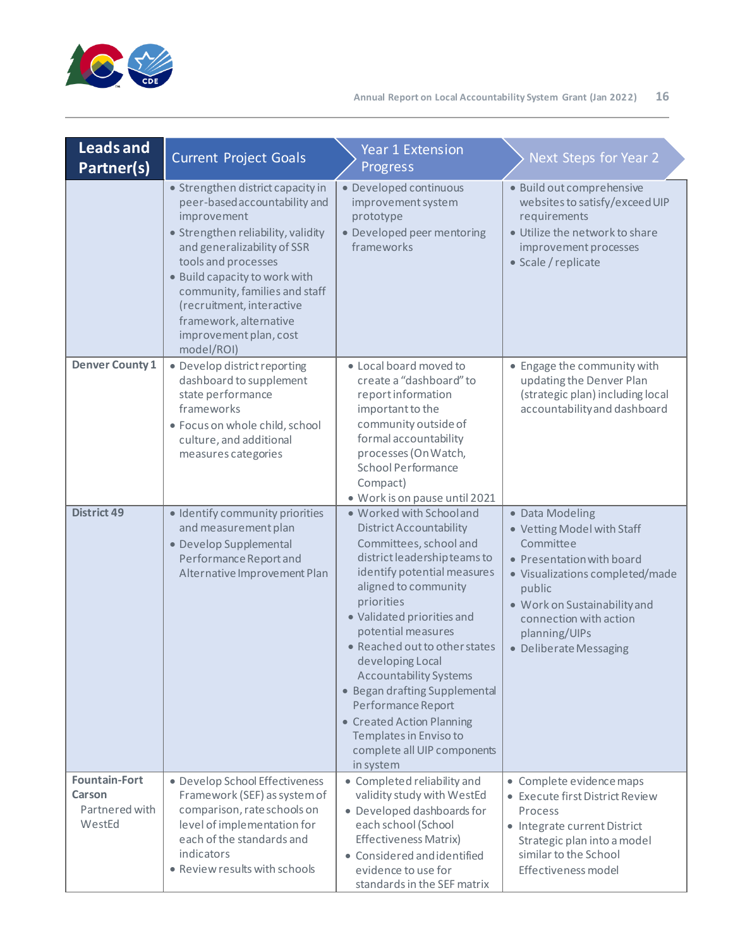

| <b>Leads and</b><br>Partner(s)                             | <b>Current Project Goals</b>                                                                                                                                                                                                                                                                                                                   | <b>Year 1 Extension</b><br>Progress                                                                                                                                                                                                                                                                                                                                                                                                                                                           | Next Steps for Year 2                                                                                                                                                                                                                     |
|------------------------------------------------------------|------------------------------------------------------------------------------------------------------------------------------------------------------------------------------------------------------------------------------------------------------------------------------------------------------------------------------------------------|-----------------------------------------------------------------------------------------------------------------------------------------------------------------------------------------------------------------------------------------------------------------------------------------------------------------------------------------------------------------------------------------------------------------------------------------------------------------------------------------------|-------------------------------------------------------------------------------------------------------------------------------------------------------------------------------------------------------------------------------------------|
|                                                            | • Strengthen district capacity in<br>peer-based accountability and<br>improvement<br>· Strengthen reliability, validity<br>and generalizability of SSR<br>tools and processes<br>• Build capacity to work with<br>community, families and staff<br>(recruitment, interactive<br>framework, alternative<br>improvement plan, cost<br>model/ROI) | · Developed continuous<br>improvement system<br>prototype<br>• Developed peer mentoring<br>frameworks                                                                                                                                                                                                                                                                                                                                                                                         | · Build out comprehensive<br>websites to satisfy/exceed UIP<br>requirements<br>· Utilize the network to share<br>improvement processes<br>• Scale / replicate                                                                             |
| <b>Denver County 1</b>                                     | · Develop district reporting<br>dashboard to supplement<br>state performance<br>frameworks<br>· Focus on whole child, school<br>culture, and additional<br>measures categories                                                                                                                                                                 | • Local board moved to<br>create a "dashboard" to<br>report information<br>important to the<br>community outside of<br>formal accountability<br>processes (On Watch,<br>School Performance<br>Compact)<br>· Work is on pause until 2021                                                                                                                                                                                                                                                       | • Engage the community with<br>updating the Denver Plan<br>(strategic plan) including local<br>accountability and dashboard                                                                                                               |
| <b>District 49</b>                                         | · Identify community priorities<br>and measurement plan<br>· Develop Supplemental<br>Performance Report and<br>Alternative Improvement Plan                                                                                                                                                                                                    | . Worked with School and<br><b>District Accountability</b><br>Committees, school and<br>district leadership teams to<br>identify potential measures<br>aligned to community<br>priorities<br>· Validated priorities and<br>potential measures<br>• Reached out to other states<br>developing Local<br><b>Accountability Systems</b><br>• Began drafting Supplemental<br>Performance Report<br>• Created Action Planning<br>Templates in Enviso to<br>complete all UIP components<br>in system | · Data Modeling<br>• Vetting Model with Staff<br>Committee<br>• Presentation with board<br>· Visualizations completed/made<br>public<br>· Work on Sustainability and<br>connection with action<br>planning/UIPs<br>· Deliberate Messaging |
| <b>Fountain-Fort</b><br>Carson<br>Partnered with<br>WestEd | · Develop School Effectiveness<br>Framework (SEF) as system of<br>comparison, rate schools on<br>level of implementation for<br>each of the standards and<br>indicators<br>• Review results with schools                                                                                                                                       | • Completed reliability and<br>validity study with WestEd<br>· Developed dashboards for<br>each school (School<br>Effectiveness Matrix)<br>• Considered and identified<br>evidence to use for<br>standards in the SEF matrix                                                                                                                                                                                                                                                                  | • Complete evidence maps<br>• Execute first District Review<br>Process<br>• Integrate current District<br>Strategic plan into a model<br>similar to the School<br>Effectiveness model                                                     |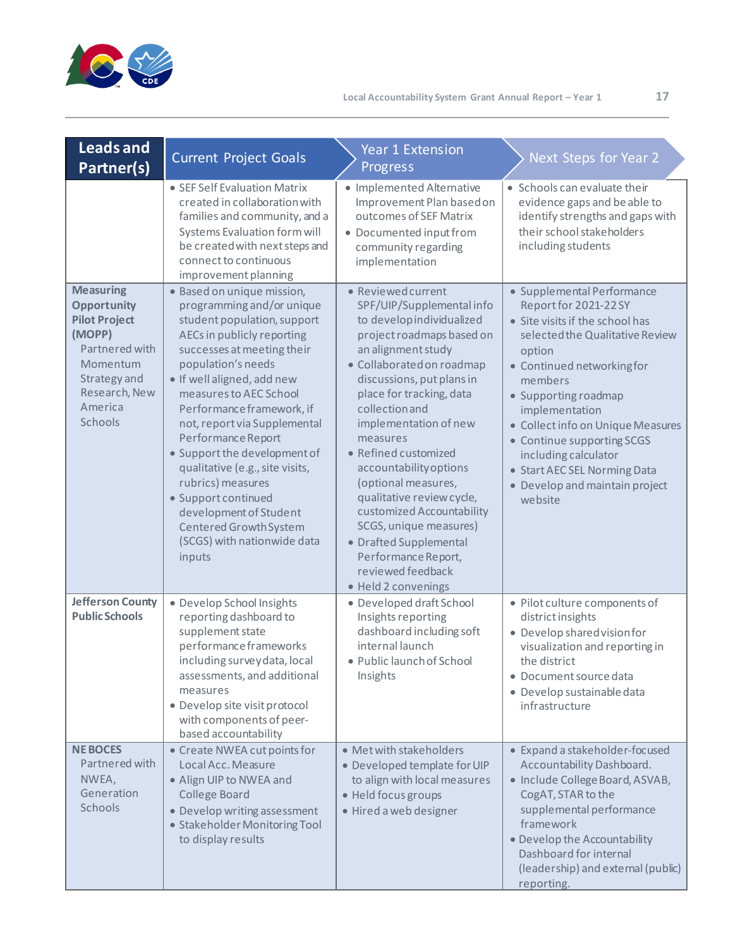

| Leads and<br>Partner(s)                                                                                                                                       | <b>Current Project Goals</b>                                                                                                                                                                                                                                                                                                                                                                                                                                                                                                    | <b>Year 1 Extension</b><br>Progress                                                                                                                                                                                                                                                                                                                                                                                                                                                                                                    | Next Steps for Year 2                                                                                                                                                                                                                                                                                                                                                                         |
|---------------------------------------------------------------------------------------------------------------------------------------------------------------|---------------------------------------------------------------------------------------------------------------------------------------------------------------------------------------------------------------------------------------------------------------------------------------------------------------------------------------------------------------------------------------------------------------------------------------------------------------------------------------------------------------------------------|----------------------------------------------------------------------------------------------------------------------------------------------------------------------------------------------------------------------------------------------------------------------------------------------------------------------------------------------------------------------------------------------------------------------------------------------------------------------------------------------------------------------------------------|-----------------------------------------------------------------------------------------------------------------------------------------------------------------------------------------------------------------------------------------------------------------------------------------------------------------------------------------------------------------------------------------------|
|                                                                                                                                                               | • SEF Self Evaluation Matrix<br>created in collaboration with<br>families and community, and a<br>Systems Evaluation form will<br>be created with next steps and<br>connect to continuous<br>improvement planning                                                                                                                                                                                                                                                                                                               | · Implemented Alternative<br>Improvement Plan based on<br>outcomes of SEF Matrix<br>· Documented input from<br>community regarding<br>implementation                                                                                                                                                                                                                                                                                                                                                                                   | • Schools can evaluate their<br>evidence gaps and be able to<br>identify strengths and gaps with<br>their school stakeholders<br>including students                                                                                                                                                                                                                                           |
| <b>Measuring</b><br><b>Opportunity</b><br><b>Pilot Project</b><br>(MOPP)<br>Partnered with<br>Momentum<br>Strategy and<br>Research, New<br>America<br>Schools | · Based on unique mission,<br>programming and/or unique<br>student population, support<br>AECs in publicly reporting<br>successes at meeting their<br>population's needs<br>· If well aligned, add new<br>measures to AEC School<br>Performance framework, if<br>not, report via Supplemental<br>Performance Report<br>• Support the development of<br>qualitative (e.g., site visits,<br>rubrics) measures<br>· Support continued<br>development of Student<br>Centered Growth System<br>(SCGS) with nationwide data<br>inputs | · Reviewed current<br>SPF/UIP/Supplemental info<br>to develop individualized<br>project roadmaps based on<br>an alignment study<br>· Collaborated on roadmap<br>discussions, put plans in<br>place for tracking, data<br>collection and<br>implementation of new<br>measures<br>• Refined customized<br>accountability options<br>(optional measures,<br>qualitative review cycle,<br>customized Accountability<br>SCGS, unique measures)<br>· Drafted Supplemental<br>Performance Report,<br>reviewed feedback<br>· Held 2 convenings | · Supplemental Performance<br>Report for 2021-22 SY<br>• Site visits if the school has<br>selected the Qualitative Review<br>option<br>• Continued networkingfor<br>members<br>• Supporting roadmap<br>implementation<br>• Collect info on Unique Measures<br>• Continue supporting SCGS<br>including calculator<br>• Start AEC SEL Norming Data<br>• Develop and maintain project<br>website |
| <b>Jefferson County</b><br><b>Public Schools</b>                                                                                                              | · Develop School Insights<br>reporting dashboard to<br>supplement state<br>performance frameworks<br>including survey data, local<br>assessments, and additional<br>measures<br>· Develop site visit protocol<br>with components of peer-<br>based accountability                                                                                                                                                                                                                                                               | · Developed draft School<br>Insights reporting<br>dashboard including soft<br>internal launch<br>· Public launch of School<br>Insights                                                                                                                                                                                                                                                                                                                                                                                                 | · Pilot culture components of<br>district insights<br>· Develop shared vision for<br>visualization and reporting in<br>the district<br>· Document source data<br>· Develop sustainable data<br>infrastructure                                                                                                                                                                                 |
| <b>NEBOCES</b><br>Partnered with<br>NWEA,<br>Generation<br>Schools                                                                                            | • Create NWEA cut points for<br>Local Acc. Measure<br>• Align UIP to NWEA and<br>College Board<br>• Develop writing assessment<br>· Stakeholder Monitoring Tool<br>to display results                                                                                                                                                                                                                                                                                                                                           | • Met with stakeholders<br>· Developed template for UIP<br>to align with local measures<br>· Held focus groups<br>· Hired a web designer                                                                                                                                                                                                                                                                                                                                                                                               | • Expand a stakeholder-focused<br>Accountability Dashboard.<br>· Include College Board, ASVAB,<br>CogAT, STAR to the<br>supplemental performance<br>framework<br>• Develop the Accountability<br>Dashboard for internal<br>(leadership) and external (public)<br>reporting.                                                                                                                   |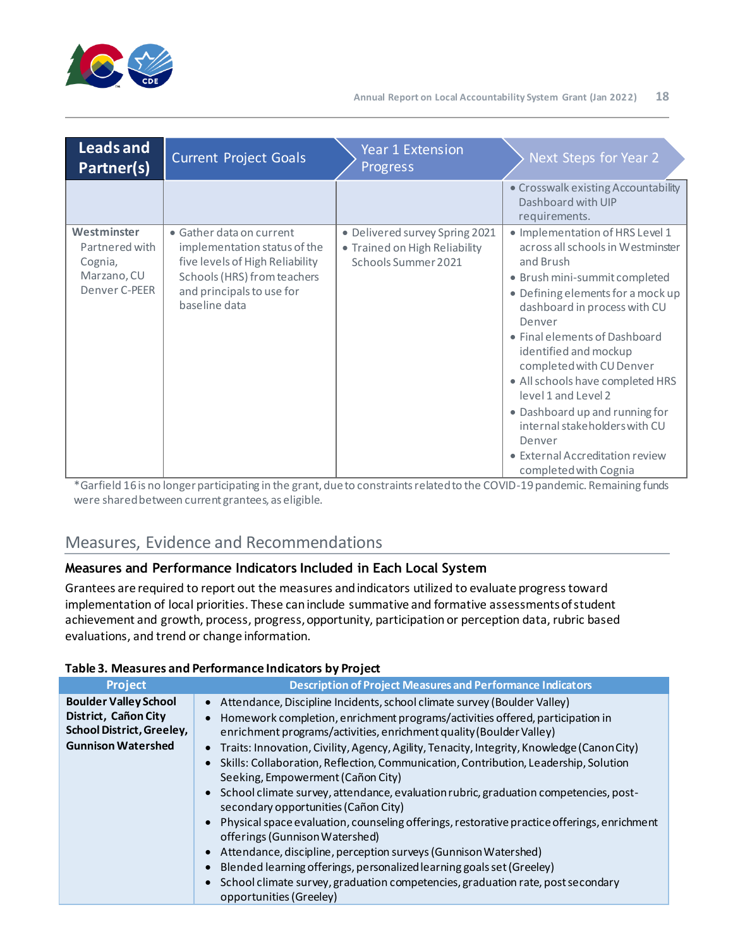

| <b>Leads and</b><br>Partner(s)                                           | <b>Current Project Goals</b>                                                                                                                                             | <b>Year 1 Extension</b><br><b>Progress</b>                                             | Next Steps for Year 2                                                                                                                                                                                                                                                                                                                                                                                                                                                                       |
|--------------------------------------------------------------------------|--------------------------------------------------------------------------------------------------------------------------------------------------------------------------|----------------------------------------------------------------------------------------|---------------------------------------------------------------------------------------------------------------------------------------------------------------------------------------------------------------------------------------------------------------------------------------------------------------------------------------------------------------------------------------------------------------------------------------------------------------------------------------------|
|                                                                          |                                                                                                                                                                          |                                                                                        | • Crosswalk existing Accountability<br>Dashboard with UIP<br>requirements.                                                                                                                                                                                                                                                                                                                                                                                                                  |
| Westminster<br>Partnered with<br>Cognia,<br>Marzano, CU<br>Denver C-PEER | • Gather data on current<br>implementation status of the<br>five levels of High Reliability<br>Schools (HRS) from teachers<br>and principals to use for<br>baseline data | · Delivered survey Spring 2021<br>• Trained on High Reliability<br>Schools Summer 2021 | · Implementation of HRS Level 1<br>across all schools in Westminster<br>and Brush<br>• Brush mini-summit completed<br>• Defining elements for a mock up<br>dashboard in process with CU<br>Denver<br>· Final elements of Dashboard<br>identified and mockup<br>completed with CU Denver<br>• All schools have completed HRS<br>level 1 and Level 2<br>• Dashboard up and running for<br>internal stakeholders with CU<br>Denver<br>• External Accreditation review<br>completed with Cognia |

\*Garfield 16is no longer participating in the grant, due to constraints related to the COVID-19 pandemic. Remaining funds were shared between current grantees, as eligible.

# <span id="page-17-0"></span>Measures, Evidence and Recommendations

## **Measures and Performance Indicators Included in Each Local System**

Grantees are required to report out the measures and indicators utilized to evaluate progress toward implementation of local priorities. These caninclude summative and formative assessments of student achievement and growth, process, progress, opportunity, participation or perception data, rubric based evaluations, and trend or change information.

| Project                                                                                                               | <b>Description of Project Measures and Performance Indicators</b>                                                                                                                                                                                                                                                                                                                                                                                                                                                                                                                                                                                                                                                                                                                                                                                                                                                                                                                      |
|-----------------------------------------------------------------------------------------------------------------------|----------------------------------------------------------------------------------------------------------------------------------------------------------------------------------------------------------------------------------------------------------------------------------------------------------------------------------------------------------------------------------------------------------------------------------------------------------------------------------------------------------------------------------------------------------------------------------------------------------------------------------------------------------------------------------------------------------------------------------------------------------------------------------------------------------------------------------------------------------------------------------------------------------------------------------------------------------------------------------------|
| <b>Boulder Valley School</b><br>District, Cañon City<br><b>School District, Greeley,</b><br><b>Gunnison Watershed</b> | Attendance, Discipline Incidents, school climate survey (Boulder Valley)<br>Homework completion, enrichment programs/activities offered, participation in<br>enrichment programs/activities, enrichment quality (Boulder Valley)<br>Traits: Innovation, Civility, Agency, Agility, Tenacity, Integrity, Knowledge (Canon City)<br>Skills: Collaboration, Reflection, Communication, Contribution, Leadership, Solution<br>Seeking, Empowerment (Cañon City)<br>School climate survey, attendance, evaluation rubric, graduation competencies, post-<br>secondary opportunities (Cañon City)<br>Physical space evaluation, counseling offerings, restorative practice offerings, enrichment<br>offerings (Gunnison Watershed)<br>Attendance, discipline, perception surveys (Gunnison Watershed)<br>Blended learning offerings, personalized learning goals set (Greeley)<br>School climate survey, graduation competencies, graduation rate, post secondary<br>opportunities (Greeley) |

#### **Table 3. Measures and Performance Indicators by Project**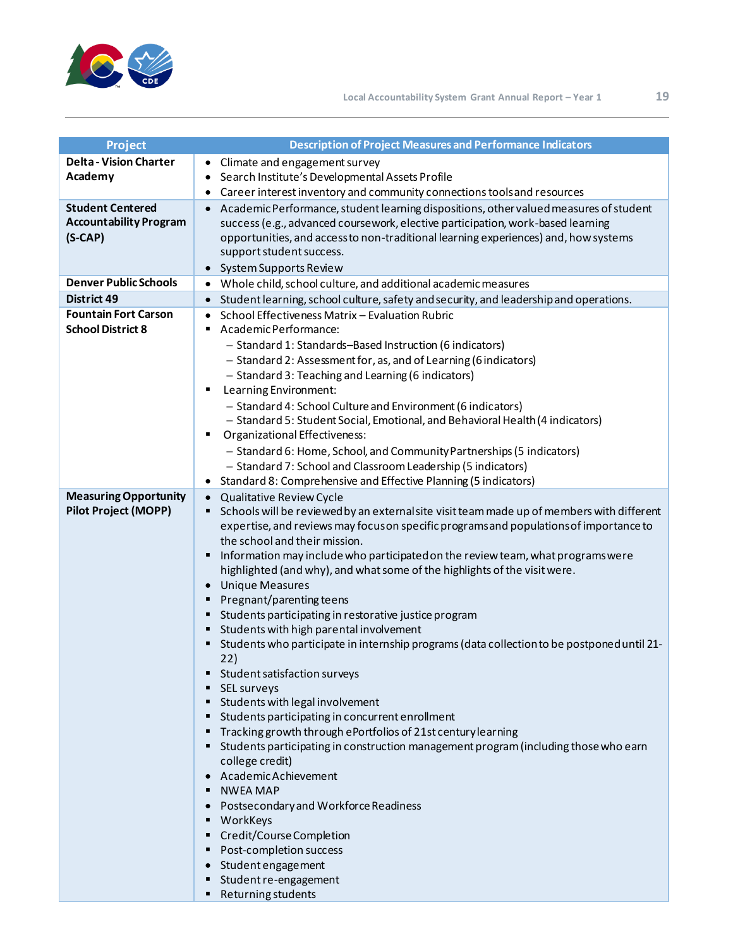

| Project                       | <b>Description of Project Measures and Performance Indicators</b>                                                                            |
|-------------------------------|----------------------------------------------------------------------------------------------------------------------------------------------|
| <b>Delta - Vision Charter</b> | • Climate and engagement survey                                                                                                              |
| Academy                       | Search Institute's Developmental Assets Profile                                                                                              |
|                               | Career interest inventory and community connections tools and resources                                                                      |
| <b>Student Centered</b>       | Academic Performance, student learning dispositions, other valued measures of student                                                        |
| <b>Accountability Program</b> | success (e.g., advanced coursework, elective participation, work-based learning                                                              |
| $(S-CAP)$                     | opportunities, and accessto non-traditional learning experiences) and, how systems                                                           |
|                               | support student success.                                                                                                                     |
|                               | • System Supports Review                                                                                                                     |
| <b>Denver Public Schools</b>  | • Whole child, school culture, and additional academic measures                                                                              |
| <b>District 49</b>            | • Student learning, school culture, safety and security, and leadership and operations.                                                      |
| <b>Fountain Fort Carson</b>   | School Effectiveness Matrix - Evaluation Rubric                                                                                              |
| <b>School District 8</b>      | Academic Performance:                                                                                                                        |
|                               | - Standard 1: Standards-Based Instruction (6 indicators)                                                                                     |
|                               | - Standard 2: Assessment for, as, and of Learning (6 indicators)                                                                             |
|                               | - Standard 3: Teaching and Learning (6 indicators)                                                                                           |
|                               | Learning Environment:<br>٠                                                                                                                   |
|                               | - Standard 4: School Culture and Environment (6 indicators)<br>- Standard 5: Student Social, Emotional, and Behavioral Health (4 indicators) |
|                               | Organizational Effectiveness:<br>п                                                                                                           |
|                               | - Standard 6: Home, School, and Community Partnerships (5 indicators)                                                                        |
|                               | - Standard 7: School and Classroom Leadership (5 indicators)                                                                                 |
|                               | • Standard 8: Comprehensive and Effective Planning (5 indicators)                                                                            |
| <b>Measuring Opportunity</b>  | • Qualitative Review Cycle                                                                                                                   |
| <b>Pilot Project (MOPP)</b>   | Schools will be reviewed by an external site visit team made up of members with different<br>٠                                               |
|                               | expertise, and reviews may focus on specific programs and populations of importance to                                                       |
|                               | the school and their mission.                                                                                                                |
|                               | Information may include who participated on the review team, what programs were<br>٠                                                         |
|                               | highlighted (and why), and what some of the highlights of the visit were.                                                                    |
|                               | <b>Unique Measures</b>                                                                                                                       |
|                               | Pregnant/parenting teens<br>٠                                                                                                                |
|                               | Students participating in restorative justice program                                                                                        |
|                               | Students with high parental involvement                                                                                                      |
|                               | Students who participate in internship programs (data collection to be postponed until 21-<br>٠                                              |
|                               | 22)<br>Student satisfaction surveys                                                                                                          |
|                               | SEL surveys                                                                                                                                  |
|                               | " Students with legal involvement                                                                                                            |
|                               | " Students participating in concurrent enrollment                                                                                            |
|                               | Tracking growth through ePortfolios of 21st century learning                                                                                 |
|                               | Students participating in construction management program (including those who earn                                                          |
|                               | college credit)                                                                                                                              |
|                               | Academic Achievement                                                                                                                         |
|                               | NWEA MAP                                                                                                                                     |
|                               | • Postsecondary and Workforce Readiness                                                                                                      |
|                               | WorkKeys                                                                                                                                     |
|                               | ■ Credit/Course Completion                                                                                                                   |
|                               | Post-completion success                                                                                                                      |
|                               | • Student engagement                                                                                                                         |
|                               | Student re-engagement                                                                                                                        |
|                               | ■ Returning students                                                                                                                         |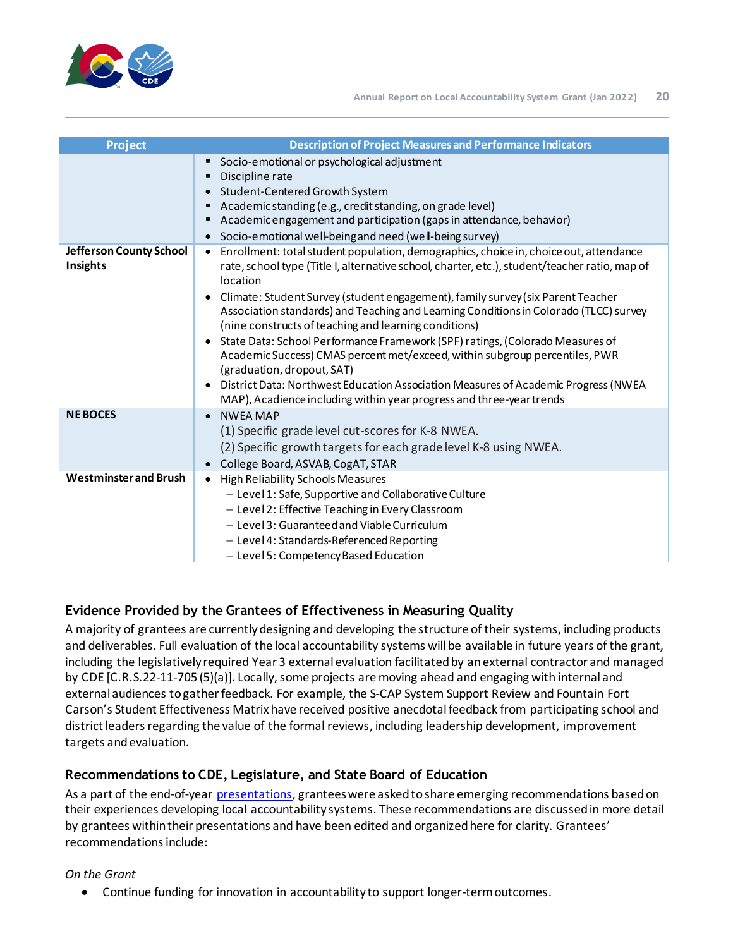

| <b>Project</b>                      | <b>Description of Project Measures and Performance Indicators</b>                                                                                                                                                                                                                                                                                                                                                                                                                                                                                                                                                                                                                                                                                                                                                |
|-------------------------------------|------------------------------------------------------------------------------------------------------------------------------------------------------------------------------------------------------------------------------------------------------------------------------------------------------------------------------------------------------------------------------------------------------------------------------------------------------------------------------------------------------------------------------------------------------------------------------------------------------------------------------------------------------------------------------------------------------------------------------------------------------------------------------------------------------------------|
|                                     | Socio-emotional or psychological adjustment<br>Discipline rate<br>٠<br>• Student-Centered Growth System<br>Academic standing (e.g., credit standing, on grade level)<br>Academic engagement and participation (gaps in attendance, behavior)<br>Socio-emotional well-being and need (well-being survey)                                                                                                                                                                                                                                                                                                                                                                                                                                                                                                          |
| Jefferson County School<br>Insights | Enrollment: total student population, demographics, choice in, choice out, attendance<br>$\bullet$<br>rate, school type (Title I, alternative school, charter, etc.), student/teacher ratio, map of<br>location<br>Climate: Student Survey (student engagement), family survey (six Parent Teacher<br>Association standards) and Teaching and Learning Conditions in Colorado (TLCC) survey<br>(nine constructs of teaching and learning conditions)<br>State Data: School Performance Framework (SPF) ratings, (Colorado Measures of<br>Academic Success) CMAS percent met/exceed, within subgroup percentiles, PWR<br>(graduation, dropout, SAT)<br>District Data: Northwest Education Association Measures of Academic Progress (NWEA<br>MAP), Acadience including within year progress and three-year trends |
| <b>NEBOCES</b>                      | <b>NWFA MAP</b><br>(1) Specific grade level cut-scores for K-8 NWEA.<br>(2) Specific growth targets for each grade level K-8 using NWEA.<br>College Board, ASVAB, CogAT, STAR                                                                                                                                                                                                                                                                                                                                                                                                                                                                                                                                                                                                                                    |
| <b>Westminster and Brush</b>        | <b>High Reliability Schools Measures</b><br>$\bullet$<br>- Level 1: Safe, Supportive and Collaborative Culture<br>- Level 2: Effective Teaching in Every Classroom<br>- Level 3: Guaranteed and Viable Curriculum<br>- Level 4: Standards-Referenced Reporting<br>- Level 5: Competency Based Education                                                                                                                                                                                                                                                                                                                                                                                                                                                                                                          |

# **Evidence Provided by the Grantees of Effectiveness in Measuring Quality**

A majority of grantees are currently designing and developing the structure of their systems, including products and deliverables. Full evaluation of the local accountability systems will be available in future years of the grant, including the legislatively required Year 3 external evaluation facilitated by an external contractor and managed by CDE [C.R.S.22-11-705 (5)(a)]. Locally, some projects are moving ahead and engaging with internal and external audiences to gather feedback. For example, the S-CAP System Support Review and Fountain Fort Carson's Student Effectiveness Matrix have received positive anecdotal feedback from participating school and district leaders regarding the value of the formal reviews, including leadership development, improvement targets and evaluation.

# **Recommendations to CDE, Legislature, and State Board of Education**

As a part of the end-of-year [presentations](https://www.cde.state.co.us/localaccountabilitysystemgrant), grantees were asked to share emerging recommendations based on their experiences developing local accountability systems. These recommendations are discussed in more detail by grantees within their presentations and have been edited and organized here for clarity. Grantees' recommendations include:

## *On the Grant*

• Continue funding for innovation in accountability to support longer-term outcomes.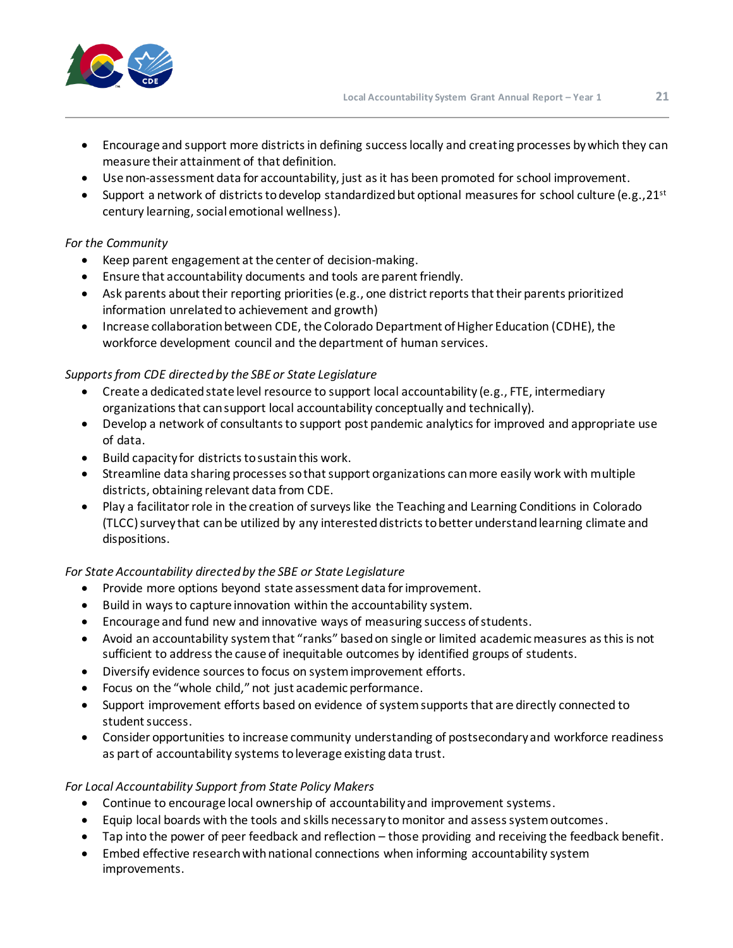

- Encourage and support more districts in defining success locally and creating processes by which they can measure their attainment of that definition.
- Use non-assessment data for accountability, just as it has been promoted for school improvement.
- Support a network of districts to develop standardized but optional measures for school culture (e.g., 21st century learning, social emotional wellness).

## *For the Community*

- Keep parent engagement at the center of decision-making.
- Ensure that accountability documents and tools are parent friendly.
- Ask parents about their reporting priorities (e.g., one district reports that their parents prioritized information unrelated to achievement and growth)
- Increase collaboration between CDE, the Colorado Department of Higher Education (CDHE), the workforce development council and the department of human services.

### *Supports from CDE directed by the SBE or State Legislature*

- Create a dedicated state level resource to support local accountability (e.g., FTE, intermediary organizations that can support local accountability conceptually and technically).
- Develop a network of consultants to support post pandemic analytics for improved and appropriate use of data.
- Build capacity for districts to sustain this work.
- Streamline data sharing processes so that support organizations can more easily work with multiple districts, obtaining relevant data from CDE.
- Play a facilitator role in the creation of surveys like the Teaching and Learning Conditions in Colorado (TLCC) survey that can be utilized by any interested districts to better understand learning climate and dispositions.

## *For State Accountability directed by the SBE or State Legislature*

- Provide more options beyond state assessment data for improvement.
- Build in ways to capture innovation within the accountability system.
- Encourage and fund new and innovative ways of measuring success of students.
- Avoid an accountability systemthat "ranks" based on single or limited academic measures as this is not sufficient to address the cause of inequitable outcomes by identified groups of students.
- Diversify evidence sources to focus on system improvement efforts.
- Focus on the "whole child," not just academic performance.
- Support improvement efforts based on evidence of system supports that are directly connected to student success.
- Consider opportunities to increase community understanding of postsecondary and workforce readiness as part of accountability systems to leverage existing data trust.

## *For Local Accountability Support from State Policy Makers*

- Continue to encourage local ownership of accountability and improvement systems.
- Equip local boards with the tools and skills necessary to monitor and assess system outcomes.
- Tap into the power of peer feedback and reflection those providing and receiving the feedback benefit.
- Embed effective research with national connections when informing accountability system improvements.